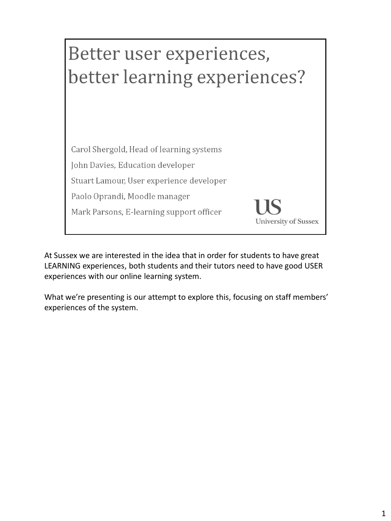

At Sussex we are interested in the idea that in order for students to have great LEARNING experiences, both students and their tutors need to have good USER experiences with our online learning system.

What we're presenting is our attempt to explore this, focusing on staff members' experiences of the system.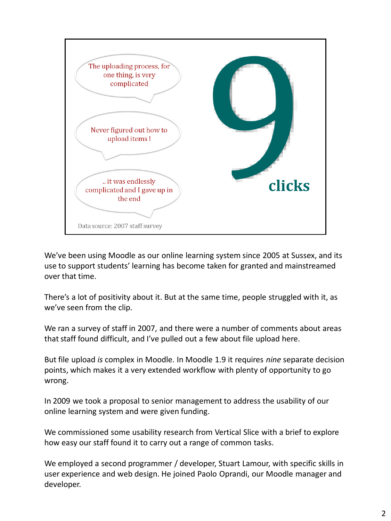

We've been using Moodle as our online learning system since 2005 at Sussex, and its use to support students' learning has become taken for granted and mainstreamed over that time.

There's a lot of positivity about it. But at the same time, people struggled with it, as we've seen from the clip.

We ran a survey of staff in 2007, and there were a number of comments about areas that staff found difficult, and I've pulled out a few about file upload here.

But file upload *is* complex in Moodle. In Moodle 1.9 it requires *nine* separate decision points, which makes it a very extended workflow with plenty of opportunity to go wrong.

In 2009 we took a proposal to senior management to address the usability of our online learning system and were given funding.

We commissioned some usability research from Vertical Slice with a brief to explore how easy our staff found it to carry out a range of common tasks.

We employed a second programmer / developer, Stuart Lamour, with specific skills in user experience and web design. He joined Paolo Oprandi, our Moodle manager and developer.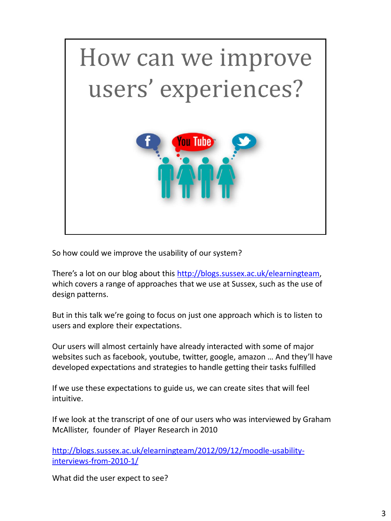

So how could we improve the usability of our system?

There's a lot on our blog about this [http://blogs.sussex.ac.uk/elearningteam](http://blogs.sussex.ac.uk/elearningteam/2012/09/12/moodle-usability-interviews-from-2010-1/), which covers a range of approaches that we use at Sussex, such as the use of design patterns.

But in this talk we're going to focus on just one approach which is to listen to users and explore their expectations.

Our users will almost certainly have already interacted with some of major websites such as facebook, youtube, twitter, google, amazon … And they'll have developed expectations and strategies to handle getting their tasks fulfilled

If we use these expectations to guide us, we can create sites that will feel intuitive.

If we look at the transcript of one of our users who was interviewed by Graham McAllister, founder of Player Research in 2010

[http://blogs.sussex.ac.uk/elearningteam/2012/09/12/moodle-usability](http://blogs.sussex.ac.uk/elearningteam/2012/09/12/moodle-usability-interviews-from-2010-1/)[interviews-from-2010-1/](http://blogs.sussex.ac.uk/elearningteam/2012/09/12/moodle-usability-interviews-from-2010-1/)

What did the user expect to see?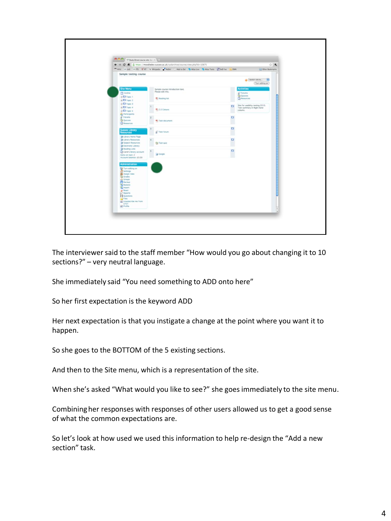| <b>Ann (1)</b> Se Study Dend course site So 11 (1) 2                                                                                                                                                                                                                                                     | ← → C n 2 https://moodledev.sussex.ac.uk/sydarchive/course/view.php?id=10875 |               | $\approx$ 3.                                                                     |
|----------------------------------------------------------------------------------------------------------------------------------------------------------------------------------------------------------------------------------------------------------------------------------------------------------|------------------------------------------------------------------------------|---------------|----------------------------------------------------------------------------------|
|                                                                                                                                                                                                                                                                                                          | THIS IS ON ITS OF WANDED FROM CASEBON SAGEDE SAGETHER COME OF OR             |               | Other Bookmarks                                                                  |
| Sample testing course                                                                                                                                                                                                                                                                                    |                                                                              |               |                                                                                  |
|                                                                                                                                                                                                                                                                                                          |                                                                              |               | $0$ Selectrolets. $-4$<br>Turn editing on                                        |
| Site Menu<br><b>CT</b> Outline<br>+D Topic 1<br>$\triangle$ D Trapic 2                                                                                                                                                                                                                                   | Sample course introduction text.<br>Please edit this.<br>* Neading list      |               | <b>Activities</b><br><sup>C</sup> Forums<br><b>G QAZZES</b><br><b>Chesources</b> |
| $\frac{1}{2}$ . Topic 3<br>$\triangle$ Direct 4<br>$\bullet$ CJ Topic 5                                                                                                                                                                                                                                  | <b>T:</b> 2.0 Colours                                                        | $\Box$        | Site for usability testing 2010.<br>Test summary in Right hand<br>column.        |
| <b>B</b> Participants<br>E <sup>7</sup> Forums<br><b>G Quezes</b><br><b>C</b> hesources                                                                                                                                                                                                                  | <sup>th</sup> Test document                                                  | $\Box$        |                                                                                  |
| <b>Jossex Library</b><br>kesources<br>- Library Home Page                                                                                                                                                                                                                                                | <sup>2</sup> Test forum                                                      | $\Box$<br>r i |                                                                                  |
| Clorary Resources<br>Subject Resources<br>O Electronic Library<br><sup>9</sup> Reading Lists                                                                                                                                                                                                             | G Test guiz                                                                  | $\Box$<br>w   |                                                                                  |
| C Carol's Horary account<br>hams on loan: 2<br>Account belance: £0.00                                                                                                                                                                                                                                    | <b>Coope</b>                                                                 | $\Box$        |                                                                                  |
| Administration<br><b>De Turn editre on</b><br>El Settings<br><b>SE Assign roles</b><br><b>Cd</b> Grades<br><b>CE Groups</b><br>PE backup<br><b>To Restore</b><br><b>The Import</b><br>$e^{\log  x }$<br>M Reports<br><b>El Questions</b><br>$G$ Files<br>Unsubscribe me from<br>UT01<br><b>C</b> Profile |                                                                              |               |                                                                                  |

The interviewer said to the staff member "How would you go about changing it to 10 sections?" – very neutral language.

She immediately said "You need something to ADD onto here"

So her first expectation is the keyword ADD

Her next expectation is that you instigate a change at the point where you want it to happen.

So she goes to the BOTTOM of the 5 existing sections.

And then to the Site menu, which is a representation of the site.

When she's asked "What would you like to see?" she goes immediately to the site menu.

Combining her responses with responses of other users allowed us to get a good sense of what the common expectations are.

So let's look at how used we used this information to help re-design the "Add a new section" task.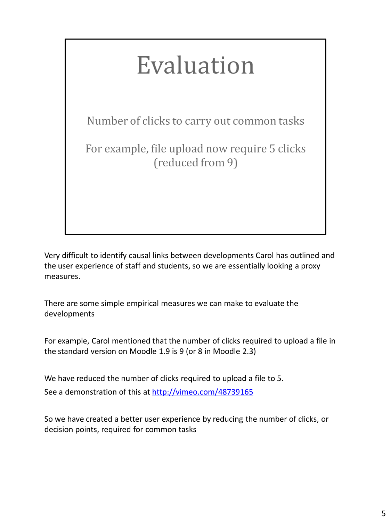## Evaluation

Number of clicks to carry out common tasks

For example, file upload now require 5 clicks (reduced from 9)

Very difficult to identify causal links between developments Carol has outlined and the user experience of staff and students, so we are essentially looking a proxy measures.

There are some simple empirical measures we can make to evaluate the developments

For example, Carol mentioned that the number of clicks required to upload a file in the standard version on Moodle 1.9 is 9 (or 8 in Moodle 2.3)

We have reduced the number of clicks required to upload a file to 5. See a demonstration of this at<http://vimeo.com/48739165>

So we have created a better user experience by reducing the number of clicks, or decision points, required for common tasks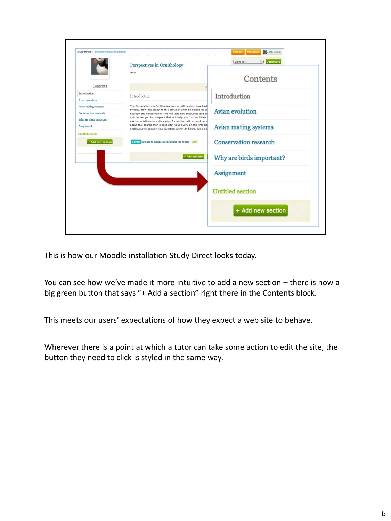

This is how our Moodle installation Study Direct looks today.

You can see how we've made it more intuitive to add a new section – there is now a big green button that says "+ Add a section" right there in the Contents block.

This meets our users' expectations of how they expect a web site to behave.

Wherever there is a point at which a tutor can take some action to edit the site, the button they need to click is styled in the same way.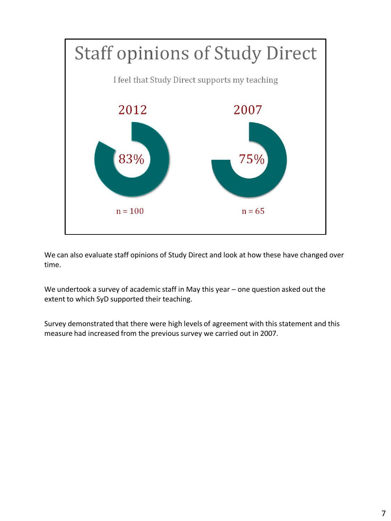

We can also evaluate staff opinions of Study Direct and look at how these have changed over time.

We undertook a survey of academic staff in May this year – one question asked out the extent to which SyD supported their teaching.

Survey demonstrated that there were high levels of agreement with this statement and this measure had increased from the previous survey we carried out in 2007.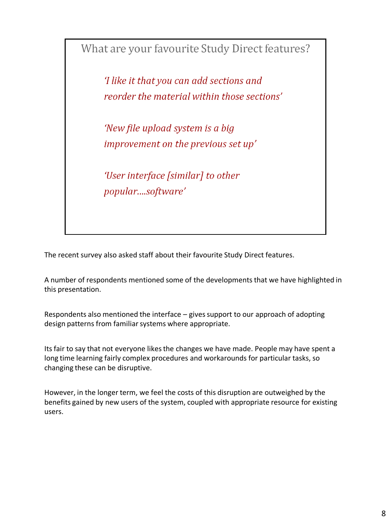What are your favourite Study Direct features?

'I like it that you can add sections and reorder the material within those sections'

'New file upload system is a big improvement on the previous set up'

'User interface [similar] to other popular....software'

The recent survey also asked staff about their favourite Study Direct features.

A number of respondents mentioned some of the developments that we have highlighted in this presentation.

Respondents also mentioned the interface – gives support to our approach of adopting design patterns from familiar systems where appropriate.

Its fair to say that not everyone likes the changes we have made. People may have spent a long time learning fairly complex procedures and workarounds for particular tasks, so changing these can be disruptive.

However, in the longer term, we feel the costs of this disruption are outweighed by the benefits gained by new users of the system, coupled with appropriate resource for existing users.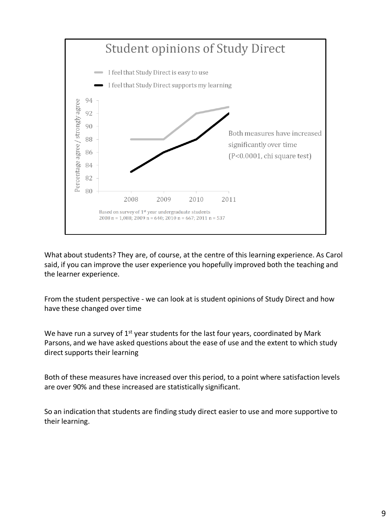

What about students? They are, of course, at the centre of this learning experience. As Carol said, if you can improve the user experience you hopefully improved both the teaching and the learner experience.

From the student perspective - we can look at is student opinions of Study Direct and how have these changed over time

We have run a survey of  $1<sup>st</sup>$  year students for the last four years, coordinated by Mark Parsons, and we have asked questions about the ease of use and the extent to which study direct supports their learning

Both of these measures have increased over this period, to a point where satisfaction levels are over 90% and these increased are statistically significant.

So an indication that students are finding study direct easier to use and more supportive to their learning.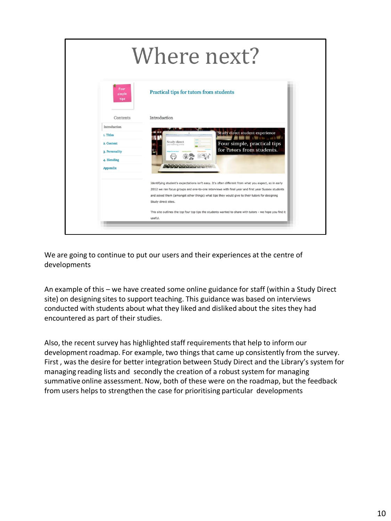

We are going to continue to put our users and their experiences at the centre of developments

An example of this – we have created some online guidance for staff (within a Study Direct site) on designing sites to support teaching. This guidance was based on interviews conducted with students about what they liked and disliked about the sites they had encountered as part of their studies.

Also, the recent survey has highlighted staff requirements that help to inform our development roadmap. For example, two things that came up consistently from the survey. First , was the desire for better integration between Study Direct and the Library's system for managing reading lists and secondly the creation of a robust system for managing summative online assessment. Now, both of these were on the roadmap, but the feedback from users helps to strengthen the case for prioritising particular developments